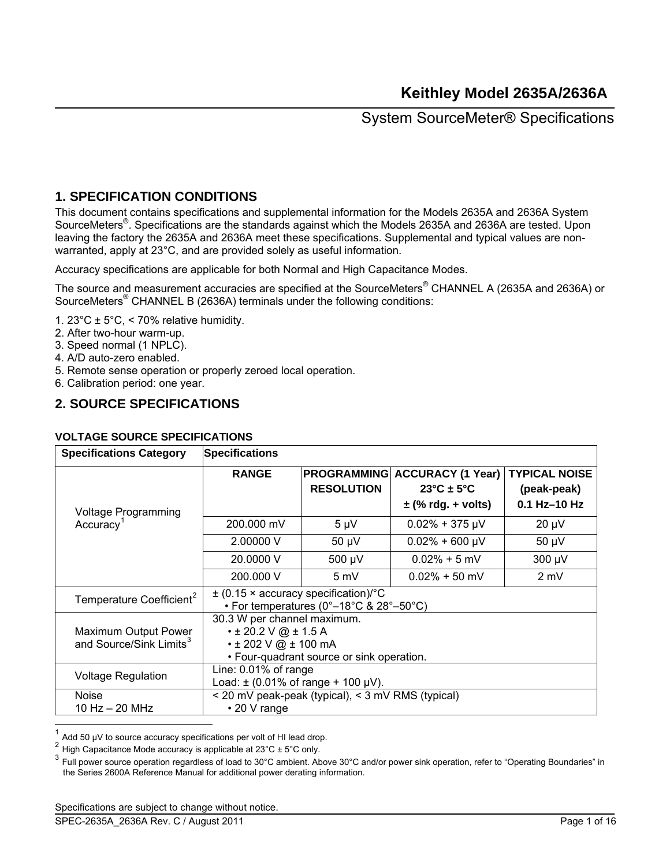## **1. SPECIFICATION CONDITIONS**

This document contains specifications and supplemental information for the Models 2635A and 2636A System SourceMeters<sup>®</sup>. Specifications are the standards against which the Models 2635A and 2636A are tested. Upon leaving the factory the 2635A and 2636A meet these specifications. Supplemental and typical values are nonwarranted, apply at 23°C, and are provided solely as useful information.

Accuracy specifications are applicable for both Normal and High Capacitance Modes.

The source and measurement accuracies are specified at the SourceMeters® CHANNEL A (2635A and 2636A) or SourceMeters<sup>®</sup> CHANNEL B (2636A) terminals under the following conditions:

- 1. 23°C  $\pm$  5°C, < 70% relative humidity.
- 2. After two-hour warm-up.
- 3. Speed normal (1 NPLC).
- 4. A/D auto-zero enabled.
- 5. Remote sense operation or properly zeroed local operation.
- 6. Calibration period: one year.

### **2. SOURCE SPECIFICATIONS**

#### **VOLTAGE SOURCE SPECIFICATIONS**

| <b>Specifications Category</b>                              | <b>Specifications</b>                                                                   |                                                                                                       |                                                                                       |                                                       |  |
|-------------------------------------------------------------|-----------------------------------------------------------------------------------------|-------------------------------------------------------------------------------------------------------|---------------------------------------------------------------------------------------|-------------------------------------------------------|--|
| <b>Voltage Programming</b>                                  | <b>RANGE</b>                                                                            | <b>PROGRAMMING</b><br><b>RESOLUTION</b>                                                               | <b>ACCURACY (1 Year)</b><br>$23^{\circ}$ C ± 5 $^{\circ}$ C<br>$\pm$ (% rdg. + volts) | <b>TYPICAL NOISE</b><br>(peak-peak)<br>$0.1$ Hz-10 Hz |  |
| Accuracy <sup>1</sup>                                       | 200.000 mV                                                                              | $5 \mu V$                                                                                             | $0.02\% + 375 \mu V$                                                                  | $20 \mu V$                                            |  |
|                                                             | 2.00000 V                                                                               | $50 \mu V$                                                                                            | $0.02\% + 600 \mu V$                                                                  | $50 \mu V$                                            |  |
|                                                             | 20,0000 V                                                                               | 500 µV                                                                                                | $0.02\% + 5$ mV                                                                       | 300 µV                                                |  |
|                                                             | 200,000 V                                                                               | 5 mV                                                                                                  | $0.02\% + 50$ mV                                                                      | 2 mV                                                  |  |
| Temperature Coefficient <sup>2</sup>                        |                                                                                         | $\pm$ (0.15 $\times$ accuracy specification)/°C<br>• For temperatures ( $0^{\circ}$ –18°C & 28°–50°C) |                                                                                       |                                                       |  |
| Maximum Output Power<br>and Source/Sink Limits <sup>3</sup> | 30.3 W per channel maximum.<br>$\cdot$ ± 20.2 V @ ± 1.5 A<br>$\cdot$ ± 202 V @ ± 100 mA | • Four-quadrant source or sink operation.                                                             |                                                                                       |                                                       |  |
| <b>Voltage Regulation</b>                                   | Line: $0.01\%$ of range<br>Load: $\pm$ (0.01% of range + 100 µV).                       |                                                                                                       |                                                                                       |                                                       |  |
| <b>Noise</b><br>10 Hz $-$ 20 MHz                            | $\cdot$ 20 V range                                                                      | < 20 mV peak-peak (typical), < 3 mV RMS (typical)                                                     |                                                                                       |                                                       |  |

<span id="page-0-0"></span><sup>1</sup> Add 50 µV to source accuracy specifications per volt of HI lead drop.

High Capacitance Mode accuracy is applicable at  $23^{\circ}$ C  $\pm$  5°C only.

<span id="page-0-2"></span><span id="page-0-1"></span><sup>3</sup> Full power source operation regardless of load to 30°C ambient. Above 30°C and/or power sink operation, refer to "Operating Boundaries" in the Series 2600A Reference Manual for additional power derating information.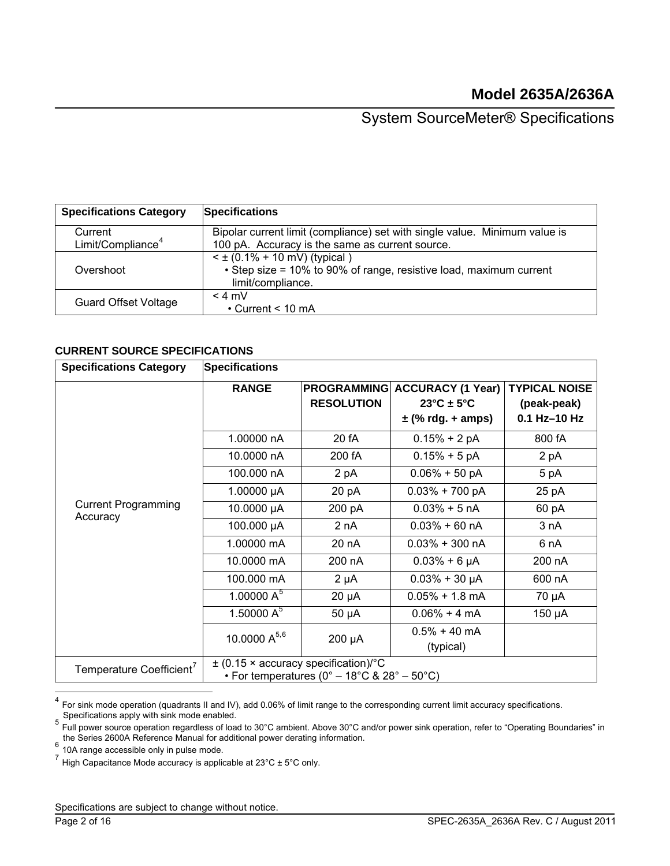| <b>Specifications Category</b> | <b>Specifications</b>                                                                                                        |
|--------------------------------|------------------------------------------------------------------------------------------------------------------------------|
| Current                        | Bipolar current limit (compliance) set with single value. Minimum value is                                                   |
| Limit/Compliance <sup>4</sup>  | 100 pA. Accuracy is the same as current source.                                                                              |
| Overshoot                      | $\leq$ ± (0.1% + 10 mV) (typical)<br>• Step size = 10% to 90% of range, resistive load, maximum current<br>limit/compliance. |
| <b>Guard Offset Voltage</b>    | $<$ 4 mV<br>$\cdot$ Current < 10 mA                                                                                          |

### **CURRENT SOURCE SPECIFICATIONS**

| <b>Specifications Category</b>         | <b>Specifications</b> |                                                                                         |                                                                                      |                                                     |
|----------------------------------------|-----------------------|-----------------------------------------------------------------------------------------|--------------------------------------------------------------------------------------|-----------------------------------------------------|
|                                        | <b>RANGE</b>          | <b>PROGRAMMING</b><br><b>RESOLUTION</b>                                                 | <b>ACCURACY (1 Year)</b><br>$23^{\circ}$ C ± 5 $^{\circ}$ C<br>$\pm$ (% rdg. + amps) | <b>TYPICAL NOISE</b><br>(peak-peak)<br>0.1 Hz-10 Hz |
|                                        | 1.00000 nA            | 20 fA                                                                                   | $0.15% + 2 pA$                                                                       | 800 fA                                              |
|                                        | 10.0000 nA            | 200 fA                                                                                  | $0.15% + 5pA$                                                                        | 2 pA                                                |
|                                        | 100.000 nA            | 2 pA                                                                                    | $0.06\% + 50$ pA                                                                     | 5 pA                                                |
|                                        | 1.00000 $\mu$ A       | 20 pA                                                                                   | $0.03\% + 700$ pA                                                                    | 25 pA                                               |
| <b>Current Programming</b><br>Accuracy | 10.0000 µA            | 200 pA                                                                                  | $0.03\% + 5 \text{ nA}$                                                              | 60 pA                                               |
|                                        | 100.000 µA            | 2 nA                                                                                    | $0.03\% + 60 \text{ nA}$                                                             | 3 nA                                                |
|                                        | 1.00000 mA            | 20 nA                                                                                   | $0.03\% + 300$ nA                                                                    | 6 nA                                                |
|                                        | 10.0000 mA            | 200 nA                                                                                  | $0.03% + 6 \mu A$                                                                    | 200 nA                                              |
|                                        | 100.000 mA            | $2 \mu A$                                                                               | $0.03% + 30 \mu A$                                                                   | 600 nA                                              |
|                                        | 1.00000 $A^5$         | $20 \mu A$                                                                              | $0.05\% + 1.8$ mA                                                                    | 70 µA                                               |
|                                        | 1.50000 $A^5$         | $50 \mu A$                                                                              | $0.06\% + 4 \text{ mA}$                                                              | 150 µA                                              |
|                                        | 10.0000 $A^{5,6}$     | 200 µA                                                                                  | $0.5\% + 40$ mA<br>(typical)                                                         |                                                     |
| Temperature Coefficient <sup>7</sup>   |                       | $\pm$ (0.15 × accuracy specification)/°C<br>• For temperatures (0° – 18°C & 28° – 50°C) |                                                                                      |                                                     |

 $^4$  For sink mode operation (quadrants II and IV), add 0.06% of limit range to the corresponding current limit accuracy specifications.

<span id="page-1-1"></span><span id="page-1-0"></span>Specifications apply with sink mode enabled.<br><sup>5</sup> Full power source operation regardless of load to 30°C ambient. Above 30°C and/or power sink operation, refer to "Operating Boundaries" in the Series 2600A Reference Manual for additional power derating information.<br>
- 10A range accessible only in pulse mode.

<span id="page-1-3"></span><span id="page-1-2"></span><sup>7</sup> High Capacitance Mode accuracy is applicable at 23°C ± 5°C only.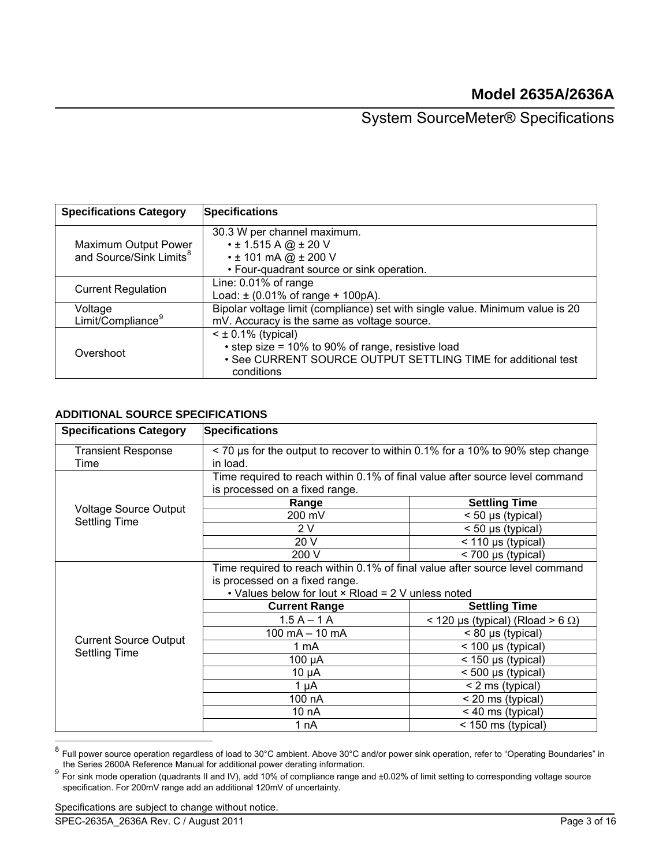| <b>Specifications Category</b>                              | <b>Specifications</b>                                                                                                                                    |
|-------------------------------------------------------------|----------------------------------------------------------------------------------------------------------------------------------------------------------|
| Maximum Output Power<br>and Source/Sink Limits <sup>8</sup> | 30.3 W per channel maximum.<br>$\cdot$ ± 1.515 A @ $\pm$ 20 V<br>$\cdot$ ± 101 mA @ ± 200 V<br>• Four-quadrant source or sink operation.                 |
| <b>Current Regulation</b>                                   | Line: 0.01% of range<br>Load: $\pm$ (0.01% of range + 100pA).                                                                                            |
| Voltage<br>Limit/Compliance <sup>9</sup>                    | Bipolar voltage limit (compliance) set with single value. Minimum value is 20<br>mV. Accuracy is the same as voltage source.                             |
| Overshoot                                                   | $<$ ± 0.1% (typical)<br>• step size = 10% to 90% of range, resistive load<br>• See CURRENT SOURCE OUTPUT SETTLING TIME for additional test<br>conditions |

### **ADDITIONAL SOURCE SPECIFICATIONS**

| <b>Specifications Category</b>                       | <b>Specifications</b>                                                                                                                                                |                                            |  |  |
|------------------------------------------------------|----------------------------------------------------------------------------------------------------------------------------------------------------------------------|--------------------------------------------|--|--|
| <b>Transient Response</b><br>Time                    | < 70 us for the output to recover to within 0.1% for a 10% to 90% step change<br>in load.                                                                            |                                            |  |  |
|                                                      | Time required to reach within 0.1% of final value after source level command<br>is processed on a fixed range.                                                       |                                            |  |  |
|                                                      | Range                                                                                                                                                                | <b>Settling Time</b>                       |  |  |
| <b>Voltage Source Output</b><br><b>Settling Time</b> | 200 mV                                                                                                                                                               | $<$ 50 µs (typical)                        |  |  |
|                                                      | 2 V                                                                                                                                                                  | $<$ 50 µs (typical)                        |  |  |
|                                                      | 20 V                                                                                                                                                                 | $<$ 110 µs (typical)                       |  |  |
|                                                      | 200 V                                                                                                                                                                | < 700 µs (typical)                         |  |  |
|                                                      | Time required to reach within 0.1% of final value after source level command<br>is processed on a fixed range.<br>• Values below for lout × Rload = 2 V unless noted |                                            |  |  |
|                                                      | <b>Current Range</b>                                                                                                                                                 | <b>Settling Time</b>                       |  |  |
|                                                      | $1.5 A - 1 A$                                                                                                                                                        | $<$ 120 µs (typical) (Rload > 6 $\Omega$ ) |  |  |
|                                                      | $100 \text{ mA} - 10 \text{ mA}$                                                                                                                                     | $< 80 \mu s$ (typical)                     |  |  |
| <b>Current Source Output</b>                         | 1 mA                                                                                                                                                                 | $<$ 100 µs (typical)                       |  |  |
| <b>Settling Time</b>                                 | 100 µA                                                                                                                                                               | < 150 µs (typical)                         |  |  |
|                                                      | 10 µA                                                                                                                                                                | < 500 µs (typical)                         |  |  |
|                                                      | 1 µA                                                                                                                                                                 | < 2 ms (typical)                           |  |  |
|                                                      | 100 nA                                                                                                                                                               | < 20 ms (typical)                          |  |  |
|                                                      | 10 nA                                                                                                                                                                | < 40 ms (typical)                          |  |  |
|                                                      | 1 nA                                                                                                                                                                 | < 150 ms (typical)                         |  |  |

<span id="page-2-0"></span><sup>&</sup>lt;sup>8</sup> Full power source operation regardless of load to 30°C ambient. Above 30°C and/or power sink operation, refer to "Operating Boundaries" in the Series 2600A Reference Manual for additional power derating information.

<span id="page-2-1"></span>the Series 2600A Reference Manual for additional power derating information.<br><sup>9</sup> For sink mode operation (quadrants II and IV), add 10% of compliance range and ±0.02% of limit setting to corresponding voltage source specification. For 200mV range add an additional 120mV of uncertainty.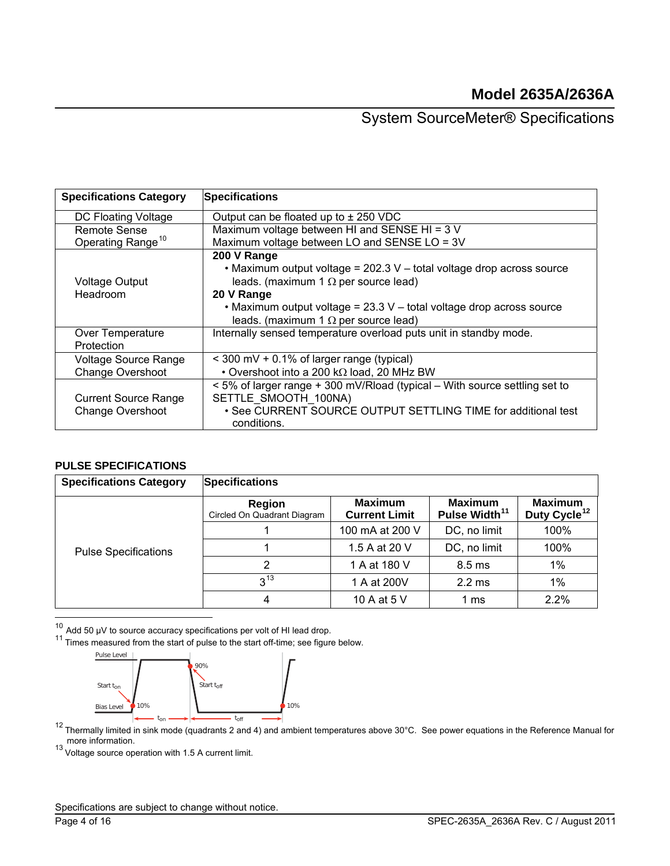| <b>Specifications Category</b> | <b>Specifications</b>                                                      |
|--------------------------------|----------------------------------------------------------------------------|
| DC Floating Voltage            | Output can be floated up to $\pm$ 250 VDC                                  |
| Remote Sense                   | Maximum voltage between HI and SENSE HI = 3 V                              |
| Operating Range <sup>10</sup>  | Maximum voltage between LO and SENSE LO = 3V                               |
|                                | 200 V Range                                                                |
|                                | • Maximum output voltage = 202.3 V - total voltage drop across source      |
| <b>Voltage Output</b>          | leads. (maximum 1 $\Omega$ per source lead)                                |
| Headroom                       | 20 V Range                                                                 |
|                                | • Maximum output voltage = $23.3$ V – total voltage drop across source     |
|                                | leads. (maximum 1 $\Omega$ per source lead)                                |
| Over Temperature               | Internally sensed temperature overload puts unit in standby mode.          |
| Protection                     |                                                                            |
| <b>Voltage Source Range</b>    | $\leq$ 300 mV + 0.1% of larger range (typical)                             |
| <b>Change Overshoot</b>        | • Overshoot into a 200 k $\Omega$ load, 20 MHz BW                          |
|                                | < 5% of larger range + 300 mV/Rload (typical – With source settling set to |
| <b>Current Source Range</b>    | SETTLE SMOOTH 100NA)                                                       |
| Change Overshoot               | • See CURRENT SOURCE OUTPUT SETTLING TIME for additional test              |
|                                | conditions.                                                                |

### **PULSE SPECIFICATIONS**

| <b>Specifications Category</b> | <b>Specifications</b>                 |                                        |                                             |                                            |
|--------------------------------|---------------------------------------|----------------------------------------|---------------------------------------------|--------------------------------------------|
|                                | Region<br>Circled On Quadrant Diagram | <b>Maximum</b><br><b>Current Limit</b> | <b>Maximum</b><br>Pulse Width <sup>11</sup> | <b>Maximum</b><br>Duty Cycle <sup>12</sup> |
|                                |                                       | 100 mA at 200 V                        | DC, no limit                                | 100%                                       |
| <b>Pulse Specifications</b>    |                                       | 1.5 A at 20 V                          | DC, no limit                                | 100%                                       |
|                                | 2                                     | 1 A at 180 V                           | $8.5 \text{ ms}$                            | $1\%$                                      |
|                                | $3^{13}$                              | 1 A at 200V                            | $2.2 \text{ ms}$                            | $1\%$                                      |
|                                |                                       | 10 A at 5 V                            | 1 ms                                        | 2.2%                                       |

<span id="page-3-1"></span><span id="page-3-0"></span><sup>10</sup> Add 50 μV to source accuracy specifications per volt of HI lead drop.<br><sup>11</sup> Times measured from the start of pulse to the start off-time; see figure below.



<span id="page-3-2"></span>Thermally limited in sink mode (quadrants 2 and 4) and ambient temperatures above 30°C. See power equations in the Reference Manual for  $^{12}$  Thermally limited in sink mode (quadrants 2 and 4) and ambient temperatures ab more information.<br><sup>13</sup> Voltage source operation with 1.5 A current limit.

<span id="page-3-3"></span>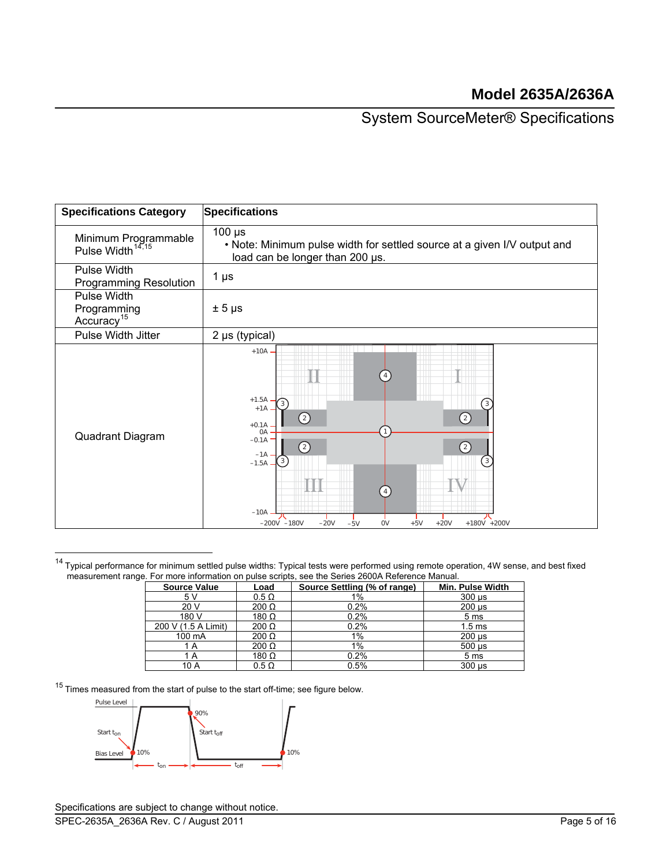| <b>Specifications Category</b>                       | <b>Specifications</b>                                                                                                                                                                                                                                                                                     |
|------------------------------------------------------|-----------------------------------------------------------------------------------------------------------------------------------------------------------------------------------------------------------------------------------------------------------------------------------------------------------|
| Minimum Programmable<br>Pulse Width <sup>14,15</sup> | $100 \mu s$<br>. Note: Minimum pulse width for settled source at a given I/V output and<br>load can be longer than 200 us.                                                                                                                                                                                |
| Pulse Width<br><b>Programming Resolution</b>         | $1 \mu s$                                                                                                                                                                                                                                                                                                 |
| Pulse Width<br>Programming<br>Accuracy <sup>15</sup> | $± 5 \mu s$                                                                                                                                                                                                                                                                                               |
| Pulse Width Jitter                                   | 2 µs (typical)                                                                                                                                                                                                                                                                                            |
| Quadrant Diagram                                     | $+10A$ .<br>$+1.5A$<br>$\left\lceil 3 \right\rceil$<br>3<br>$+1A$<br>$\left( 2\right)$<br>$\left( 2\right)$<br>$+0.1A$<br>0A<br>$-0.1A$<br>②<br>$\circled{2}$<br>$-1A$<br>$\left[3\right]$<br>3<br>$-1.5A -$<br>$-10A$<br>$-20V$<br><b>OV</b><br>$+5V$<br>$+20V$<br>+180V +200V<br>$-200V -180V$<br>$-5V$ |

<span id="page-4-0"></span><sup>14</sup> Typical performance for minimum settled pulse widths: Typical tests were performed using remote operation, 4W sense, and best fixed measurement range. For more information on pulse scripts, see the Series 2600A Reference M r more information on pulse scripts, see the Series 2600A Reference Manual.

| <b>Source Value</b> | Load         | Source Settling (% of range) | Min. Pulse Width          |
|---------------------|--------------|------------------------------|---------------------------|
| 5 V                 | $0.5 \Omega$ | 1%                           | $300 \mu s$               |
| 20 V                | $200 \Omega$ | 0.2%                         | $200 \mu s$               |
| 180 V               | 180 $\Omega$ | 0.2%                         | 5 <sub>ms</sub>           |
| 200 V (1.5 A Limit) | $200 \Omega$ | 0.2%                         | 1.5 <sub>ms</sub>         |
| 100 mA              | $200 \Omega$ | $1\%$                        | $200 \text{ }\mu\text{s}$ |
| 1 A                 | $200 \Omega$ | $1\%$                        | $500 \text{ }\mu\text{s}$ |
| 1 A                 | 180 $\Omega$ | 0.2%                         | 5 <sub>ms</sub>           |
| 10 A                | $0.5 \Omega$ | 0.5%                         | $300 \mu s$               |

 $15$  Times measured from the start of pulse to the start off-time; see figure below.

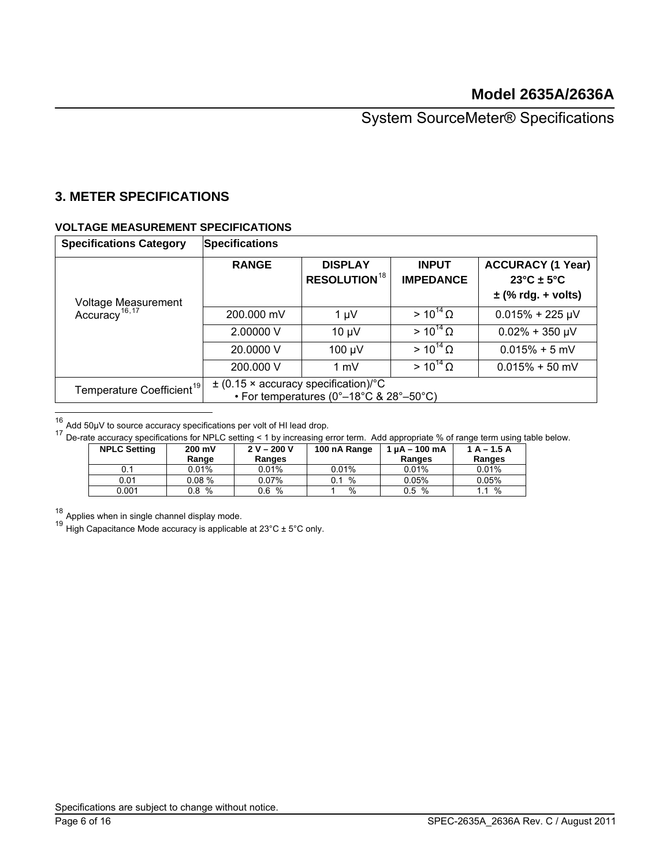## **3. METER SPECIFICATIONS**

### **VOLTAGE MEASUREMENT SPECIFICATIONS**

<span id="page-5-4"></span>

| <b>Specifications Category</b>                   | <b>Specifications</b> |                                                                                     |                                  |                                                                            |
|--------------------------------------------------|-----------------------|-------------------------------------------------------------------------------------|----------------------------------|----------------------------------------------------------------------------|
| Voltage Measurement<br>Accuracy <sup>16,17</sup> | <b>RANGE</b>          | <b>DISPLAY</b><br><b>RESOLUTION<sup>18</sup></b>                                    | <b>INPUT</b><br><b>IMPEDANCE</b> | <b>ACCURACY (1 Year)</b><br>$23^{\circ}$ C ± 5°C<br>$\pm$ (% rdg. + volts) |
|                                                  | 200.000 mV            | $1 \mu V$                                                                           | $> 10^{14} \Omega$               | $0.015% + 225 \mu V$                                                       |
|                                                  | 2.00000 V             | $10 \mu V$                                                                          | $> 10^{14} \Omega$               | $0.02\% + 350 \mu V$                                                       |
|                                                  | 20.0000 V             | 100 µV                                                                              | $> 10^{14} \Omega$               | $0.015% + 5$ mV                                                            |
|                                                  | 200.000 V             | $1 \text{ mV}$                                                                      | $> 10^{14} \Omega$               | $0.015% + 50$ mV                                                           |
| Temperature Coefficient <sup>19</sup>            |                       | $\pm$ (0.15 × accuracy specification)/°C<br>• For temperatures (0°–18°C & 28°–50°C) |                                  |                                                                            |

<span id="page-5-0"></span> $16$  Add 50µV to source accuracy specifications per volt of HI lead drop.

<span id="page-5-1"></span> $17$  De-rate accuracy specifications for NPLC setting < 1 by increasing error term. Add appropriate % of range term using table below.

| <b>NPLC Setting</b> | 200 mV<br>Range | $2 V - 200 V$<br>Ranges | 100 nA Range  | 1 uA - 100 mA<br>Ranges | $1A - 1.5A$<br>Ranges |
|---------------------|-----------------|-------------------------|---------------|-------------------------|-----------------------|
| 0.1                 | $0.01\%$        | 0.01%                   | 0.01%         | 0.01%                   | 0.01%                 |
| 0.01                | 0.08%           | 0.07%                   | %<br>0.1      | $0.05\%$                | 0.05%                 |
| 0.001               | %<br>0.8        | %<br>0.6                | $\frac{0}{0}$ | $\%$<br>0.5             | %                     |

<span id="page-5-2"></span> $18$  Applies when in single channel display mode.

<span id="page-5-3"></span><sup>19</sup> High Capacitance Mode accuracy is applicable at  $23^{\circ}$ C  $\pm$  5°C only.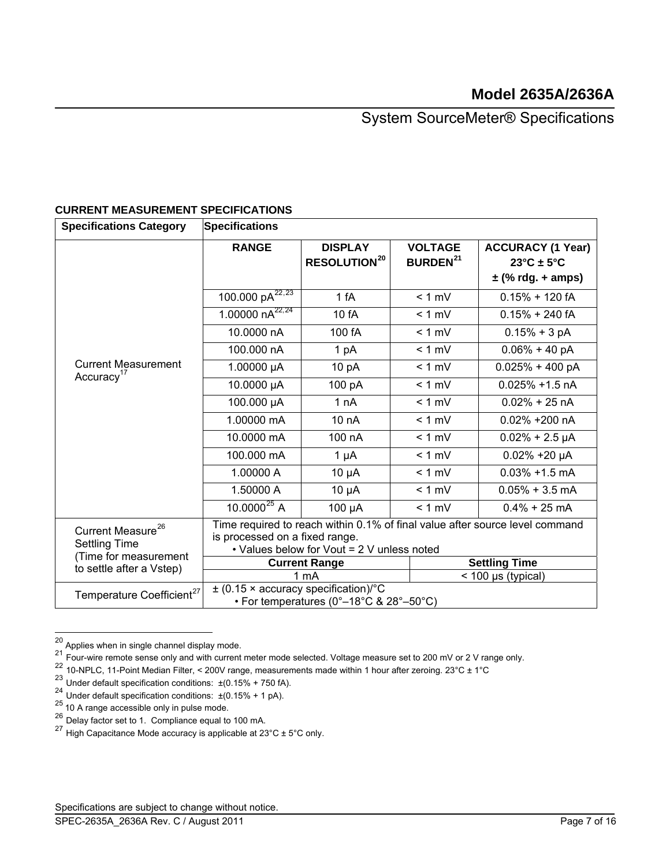| <b>Specifications Category</b>                        | <b>Specifications</b>                           |                                                                                                                                                              |                                              |                                                  |  |  |
|-------------------------------------------------------|-------------------------------------------------|--------------------------------------------------------------------------------------------------------------------------------------------------------------|----------------------------------------------|--------------------------------------------------|--|--|
|                                                       | <b>RANGE</b>                                    | <b>DISPLAY</b><br><b>RESOLUTION<sup>20</sup></b>                                                                                                             | <b>VOLTAGE</b><br><b>BURDEN<sup>21</sup></b> | <b>ACCURACY (1 Year)</b><br>$23^{\circ}$ C ± 5°C |  |  |
|                                                       |                                                 |                                                                                                                                                              |                                              | $\pm$ (% rdg. + amps)                            |  |  |
|                                                       | 100.000 $pA^{22,23}$                            | 1 fA                                                                                                                                                         | $< 1$ mV                                     | $0.15% + 120$ fA                                 |  |  |
|                                                       | 1.00000 $nA^{22,24}$                            | 10 fA                                                                                                                                                        | $< 1$ mV                                     | $0.15% + 240$ fA                                 |  |  |
|                                                       | 10.0000 nA                                      | 100 fA                                                                                                                                                       | $< 1$ mV                                     | $0.15% + 3 pA$                                   |  |  |
|                                                       | 100.000 nA                                      | 1 pA                                                                                                                                                         | $< 1$ mV                                     | $0.06\% + 40 pA$                                 |  |  |
| <b>Current Measurement</b><br>Accuracy <sup>17</sup>  | 1.00000 µA                                      | 10 pA                                                                                                                                                        | $< 1$ mV                                     | $0.025% + 400 pA$                                |  |  |
|                                                       | 10.0000 µA                                      | 100 pA                                                                                                                                                       | $< 1$ mV                                     | $0.025\% + 1.5$ nA                               |  |  |
|                                                       | 100.000 µA                                      | 1 nA                                                                                                                                                         | $< 1$ mV                                     | $0.02\% + 25$ nA                                 |  |  |
|                                                       | 1.00000 mA                                      | 10 <sub>n</sub> A                                                                                                                                            | $< 1$ mV                                     | 0.02% +200 nA                                    |  |  |
|                                                       | 10.0000 mA                                      | 100 nA                                                                                                                                                       | $< 1$ mV                                     | $0.02\% + 2.5 \mu A$                             |  |  |
|                                                       | 100.000 mA                                      | $1 \mu A$                                                                                                                                                    | $< 1$ mV                                     | $0.02\% + 20 \mu A$                              |  |  |
|                                                       | 1.00000 A                                       | $10 \mu A$                                                                                                                                                   | $< 1$ mV                                     | $0.03\% + 1.5$ mA                                |  |  |
|                                                       | 1.50000 A                                       | $10 \mu A$                                                                                                                                                   | $< 1$ mV                                     | $0.05\% + 3.5$ mA                                |  |  |
|                                                       | 10.0000 $^{25}$ A                               | $100 \mu A$                                                                                                                                                  | $< 1$ mV                                     | $0.4\% + 25$ mA                                  |  |  |
| Current Measure <sup>26</sup><br><b>Settling Time</b> |                                                 | Time required to reach within 0.1% of final value after source level command<br>is processed on a fixed range.<br>• Values below for Vout = 2 V unless noted |                                              |                                                  |  |  |
| (Time for measurement                                 |                                                 | <b>Current Range</b>                                                                                                                                         |                                              | <b>Settling Time</b>                             |  |  |
| to settle after a Vstep)                              |                                                 | 1 mA<br>$<$ 100 µs (typical)                                                                                                                                 |                                              |                                                  |  |  |
| Temperature Coefficient <sup>27</sup>                 | $\pm$ (0.15 $\times$ accuracy specification)/°C | • For temperatures (0°–18°C & 28°–50°C)                                                                                                                      |                                              |                                                  |  |  |

### **CURRENT MEASUREMENT SPECIFICATIONS**

<span id="page-6-0"></span> $^{20}$  Applies when in single channel display mode.

 $^{21}$  Four-wire remote sense only and with current meter mode selected. Voltage measure set to 200 mV or 2 V range only.

<span id="page-6-3"></span><span id="page-6-2"></span><span id="page-6-1"></span><sup>22 10-</sup>NPLC, 11-Point Median Filter, < 200V range, measurements made within 1 hour after zeroing. 23°C ± 1°C

<sup>&</sup>lt;sup>23</sup> Under default specification conditions:  $\pm (0.15\% + 750$  fA).

<sup>&</sup>lt;sup>24</sup> Under default specification conditions:  $\pm (0.15\% + 1 \text{ pA})$ .

<span id="page-6-6"></span><span id="page-6-5"></span><span id="page-6-4"></span> $25$  10 A range accessible only in pulse mode.

 $26$  Delay factor set to 1. Compliance equal to 100 mA.

<span id="page-6-7"></span><sup>&</sup>lt;sup>27</sup> High Capacitance Mode accuracy is applicable at  $23^{\circ}$ C  $\pm$  5°C only.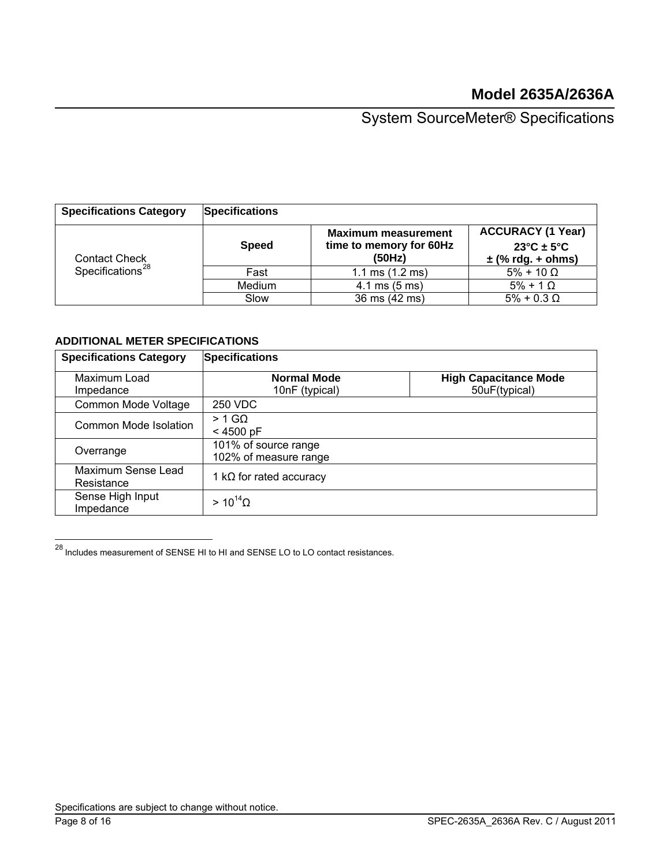| <b>Specifications Category</b>                       | <b>Specifications</b> |                                                                 |                                                                                      |
|------------------------------------------------------|-----------------------|-----------------------------------------------------------------|--------------------------------------------------------------------------------------|
| <b>Contact Check</b><br>Specifications <sup>28</sup> | <b>Speed</b>          | <b>Maximum measurement</b><br>time to memory for 60Hz<br>(50Hz) | <b>ACCURACY (1 Year)</b><br>$23^{\circ}$ C ± 5 $^{\circ}$ C<br>$\pm$ (% rdg. + ohms) |
|                                                      | Fast                  | 1.1 ms $(1.2 \text{ ms})$                                       | $5\% + 10 \Omega$                                                                    |
|                                                      | Medium                | $4.1 \text{ ms } (5 \text{ ms})$                                | $5\% + 1$ $\Omega$                                                                   |
|                                                      | Slow                  | 36 ms (42 ms)                                                   | $5\% + 0.3 \Omega$                                                                   |

### **ADDITIONAL METER SPECIFICATIONS**

| <b>Specifications Category</b>   | <b>Specifications</b>                         |                                               |  |  |
|----------------------------------|-----------------------------------------------|-----------------------------------------------|--|--|
| Maximum Load<br>Impedance        | <b>Normal Mode</b><br>10nF (typical)          | <b>High Capacitance Mode</b><br>50uF(typical) |  |  |
| Common Mode Voltage              | <b>250 VDC</b>                                |                                               |  |  |
| Common Mode Isolation            | $> 1$ GQ<br>$< 4500$ pF                       |                                               |  |  |
| Overrange                        | 101% of source range<br>102% of measure range |                                               |  |  |
| Maximum Sense Lead<br>Resistance | 1 k $\Omega$ for rated accuracy               |                                               |  |  |
| Sense High Input<br>Impedance    | $> 10^{14} \Omega$                            |                                               |  |  |

<span id="page-7-0"></span> $^{28}$  Includes measurement of SENSE HI to HI and SENSE LO to LO contact resistances.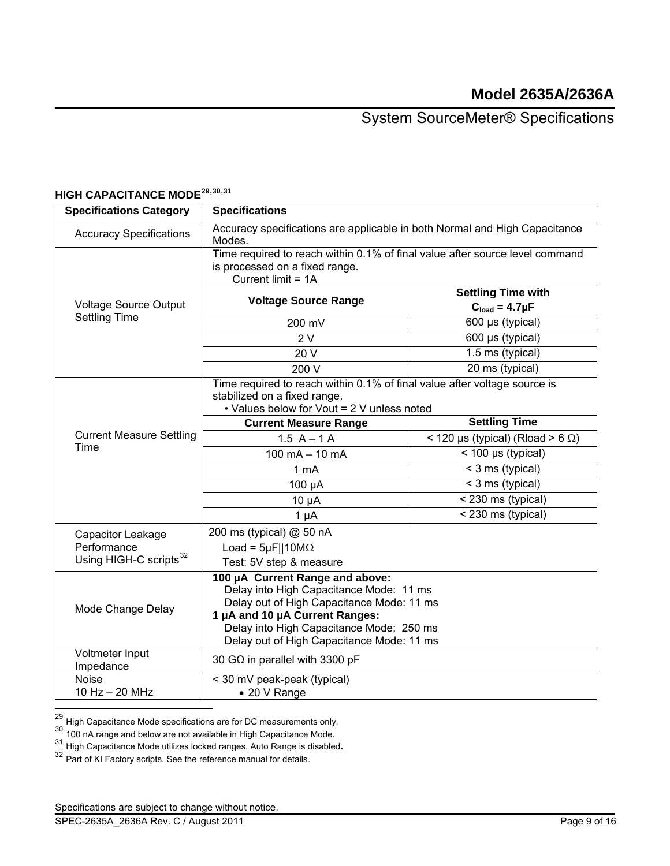| <b>Specifications Category</b>     | <b>Specifications</b>                                                                                                                                                                                                                              |                                            |  |  |
|------------------------------------|----------------------------------------------------------------------------------------------------------------------------------------------------------------------------------------------------------------------------------------------------|--------------------------------------------|--|--|
| <b>Accuracy Specifications</b>     | Accuracy specifications are applicable in both Normal and High Capacitance<br>Modes.                                                                                                                                                               |                                            |  |  |
|                                    | Time required to reach within 0.1% of final value after source level command<br>is processed on a fixed range.<br>Current limit = 1A                                                                                                               |                                            |  |  |
|                                    |                                                                                                                                                                                                                                                    | <b>Settling Time with</b>                  |  |  |
| <b>Voltage Source Output</b>       | <b>Voltage Source Range</b>                                                                                                                                                                                                                        | $C_{load} = 4.7 \mu F$                     |  |  |
| <b>Settling Time</b>               | 200 mV                                                                                                                                                                                                                                             | $\overline{600}$ µs (typical)              |  |  |
|                                    | 2V                                                                                                                                                                                                                                                 | 600 µs (typical)                           |  |  |
|                                    | 20 V                                                                                                                                                                                                                                               | 1.5 ms (typical)                           |  |  |
|                                    | 200 V                                                                                                                                                                                                                                              | 20 ms (typical)                            |  |  |
|                                    | Time required to reach within 0.1% of final value after voltage source is<br>stabilized on a fixed range.<br>• Values below for Vout = 2 V unless noted                                                                                            |                                            |  |  |
|                                    | <b>Current Measure Range</b>                                                                                                                                                                                                                       | <b>Settling Time</b>                       |  |  |
| <b>Current Measure Settling</b>    | $1.5 A - 1 A$                                                                                                                                                                                                                                      | $<$ 120 µs (typical) (Rload > 6 $\Omega$ ) |  |  |
| Time                               | $<$ 100 µs (typical)<br>$100 \text{ mA} - 10 \text{ mA}$                                                                                                                                                                                           |                                            |  |  |
|                                    | < 3 ms (typical)<br>1 mA                                                                                                                                                                                                                           |                                            |  |  |
|                                    | < 3 ms (typical)<br>100 µA                                                                                                                                                                                                                         |                                            |  |  |
|                                    | $10 \mu A$                                                                                                                                                                                                                                         | < 230 ms (typical)                         |  |  |
|                                    | $1 \mu A$                                                                                                                                                                                                                                          | < 230 ms (typical)                         |  |  |
| Capacitor Leakage                  | 200 ms (typical) @ 50 nA                                                                                                                                                                                                                           |                                            |  |  |
| Performance                        | Load = $5\mu$ F  10M $\Omega$                                                                                                                                                                                                                      |                                            |  |  |
| Using HIGH-C scripts <sup>32</sup> | Test: 5V step & measure                                                                                                                                                                                                                            |                                            |  |  |
| Mode Change Delay                  | 100 µA Current Range and above:<br>Delay into High Capacitance Mode: 11 ms<br>Delay out of High Capacitance Mode: 11 ms<br>1 µA and 10 µA Current Ranges:<br>Delay into High Capacitance Mode: 250 ms<br>Delay out of High Capacitance Mode: 11 ms |                                            |  |  |
| Voltmeter Input<br>Impedance       | 30 G $\Omega$ in parallel with 3300 pF                                                                                                                                                                                                             |                                            |  |  |
| <b>Noise</b>                       | $\overline{0}$ < 30 mV peak-peak (typical)                                                                                                                                                                                                         |                                            |  |  |
| 10 Hz - 20 MHz                     | • 20 V Range                                                                                                                                                                                                                                       |                                            |  |  |

# **HIGH CAPACITANCE MODE[29](#page-8-0),[30](#page-8-1),[31](#page-8-2)**

<span id="page-8-0"></span><sup>&</sup>lt;sup>29</sup> High Capacitance Mode specifications are for DC measurements only.

<span id="page-8-1"></span><sup>&</sup>lt;sup>30</sup> 100 nA range and below are not available in High Capacitance Mode.

<span id="page-8-2"></span><sup>&</sup>lt;sup>31</sup> High Capacitance Mode utilizes locked ranges. Auto Range is disabled.<br><sup>32</sup> Part of KI Factory scripts. See the reference manual for details.

<span id="page-8-3"></span>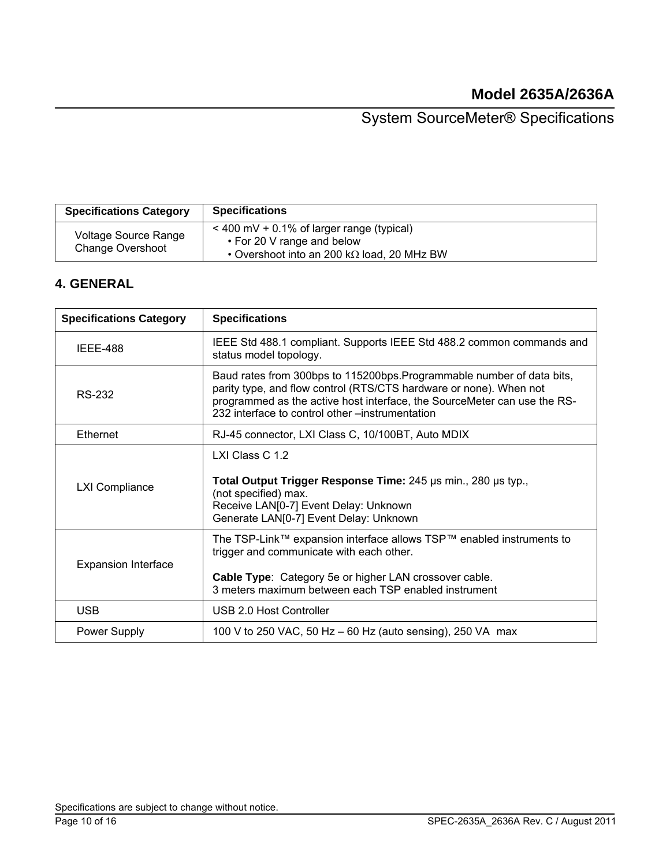| <b>Specifications Category</b>           | <b>Specifications</b>                                                                                                           |
|------------------------------------------|---------------------------------------------------------------------------------------------------------------------------------|
| Voltage Source Range<br>Change Overshoot | $<$ 400 mV + 0.1% of larger range (typical)<br>• For 20 V range and below<br>• Overshoot into an 200 k $\Omega$ load, 20 MHz BW |

## **4. GENERAL**

| <b>Specifications Category</b> | <b>Specifications</b>                                                                                                                                                                                                                                                       |  |  |
|--------------------------------|-----------------------------------------------------------------------------------------------------------------------------------------------------------------------------------------------------------------------------------------------------------------------------|--|--|
| <b>IEEE-488</b>                | IEEE Std 488.1 compliant. Supports IEEE Std 488.2 common commands and<br>status model topology.                                                                                                                                                                             |  |  |
| RS-232                         | Baud rates from 300bps to 115200bps. Programmable number of data bits,<br>parity type, and flow control (RTS/CTS hardware or none). When not<br>programmed as the active host interface, the SourceMeter can use the RS-<br>232 interface to control other –instrumentation |  |  |
| <b>Ethernet</b>                | RJ-45 connector, LXI Class C, 10/100BT, Auto MDIX                                                                                                                                                                                                                           |  |  |
| <b>LXI Compliance</b>          | LXI Class C 1.2<br>Total Output Trigger Response Time: 245 us min., 280 us typ.,<br>(not specified) max.<br>Receive LAN[0-7] Event Delay: Unknown<br>Generate LAN[0-7] Event Delay: Unknown                                                                                 |  |  |
| <b>Expansion Interface</b>     | The TSP-Link™ expansion interface allows TSP™ enabled instruments to<br>trigger and communicate with each other.<br>Cable Type: Category 5e or higher LAN crossover cable.<br>3 meters maximum between each TSP enabled instrument                                          |  |  |
| <b>USB</b>                     | USB 2.0 Host Controller                                                                                                                                                                                                                                                     |  |  |
| <b>Power Supply</b>            | 100 V to 250 VAC, 50 Hz - 60 Hz (auto sensing), 250 VA max                                                                                                                                                                                                                  |  |  |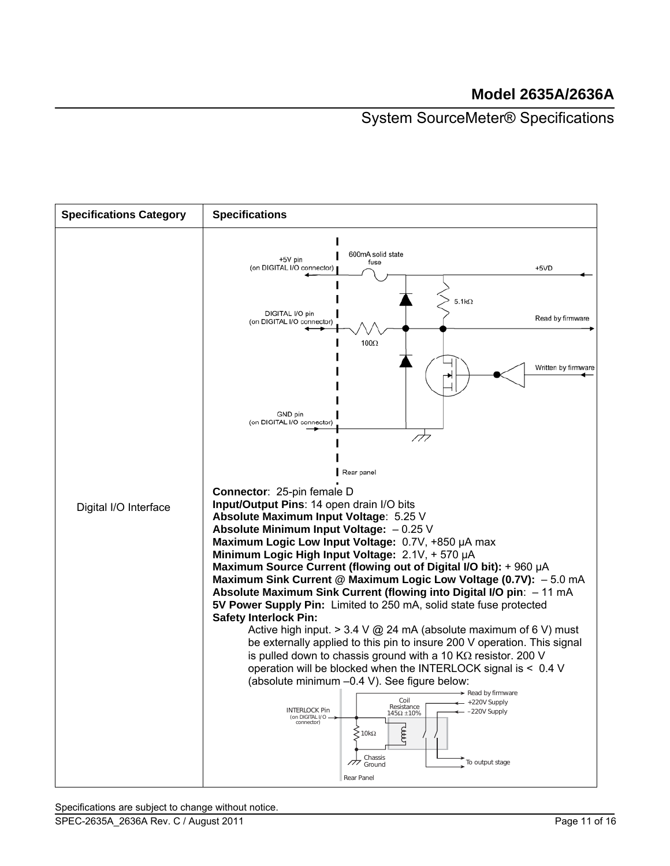# **Model 2635A/2636A**

## System SourceMeter® Specifications

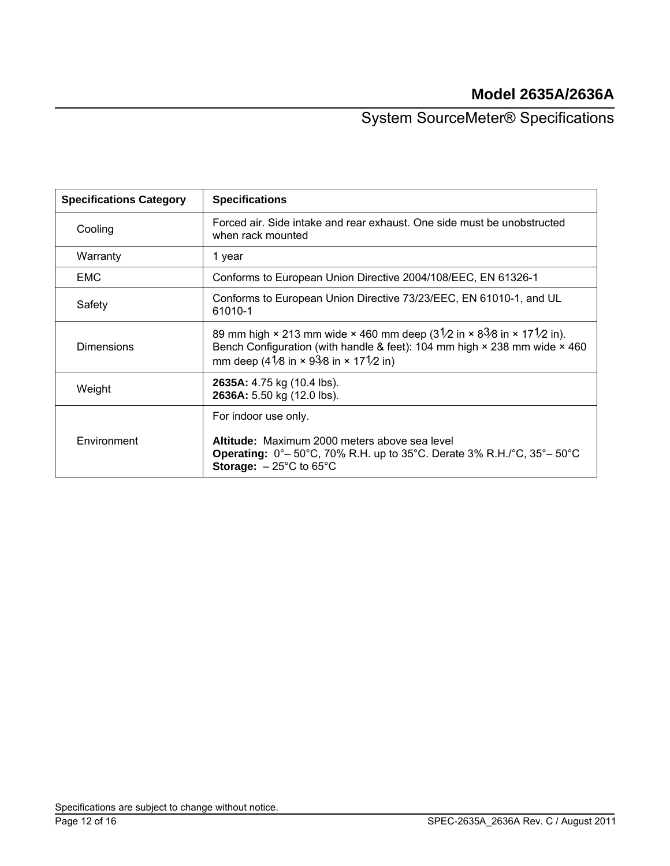# **Model 2635A/2636A**

System SourceMeter® Specifications

| <b>Specifications Category</b> | <b>Specifications</b>                                                                                                                                                                                                                                                         |
|--------------------------------|-------------------------------------------------------------------------------------------------------------------------------------------------------------------------------------------------------------------------------------------------------------------------------|
| Cooling                        | Forced air. Side intake and rear exhaust. One side must be unobstructed<br>when rack mounted                                                                                                                                                                                  |
| Warranty                       | 1 year                                                                                                                                                                                                                                                                        |
| <b>EMC</b>                     | Conforms to European Union Directive 2004/108/EEC, EN 61326-1                                                                                                                                                                                                                 |
| Safety                         | Conforms to European Union Directive 73/23/EEC, EN 61010-1, and UL<br>61010-1                                                                                                                                                                                                 |
| <b>Dimensions</b>              | 89 mm high $\times$ 213 mm wide $\times$ 460 mm deep (31/2 in $\times$ 83/8 in $\times$ 171/2 in).<br>Bench Configuration (with handle & feet): 104 mm high $\times$ 238 mm wide $\times$ 460<br>mm deep (41/8 in $\times$ 93/8 in $\times$ 171/2 in)                         |
| Weight                         | 2635A: 4.75 kg (10.4 lbs).<br>2636A: 5.50 kg (12.0 lbs).                                                                                                                                                                                                                      |
| Environment                    | For indoor use only.<br>Altitude: Maximum 2000 meters above sea level<br><b>Operating:</b> $0^{\circ}$ – 50 $^{\circ}$ C, 70% R.H. up to 35 $^{\circ}$ C. Derate 3% R.H./ $^{\circ}$ C, 35 $^{\circ}$ – 50 $^{\circ}$ C<br><b>Storage:</b> $-25^{\circ}$ C to 65 $^{\circ}$ C |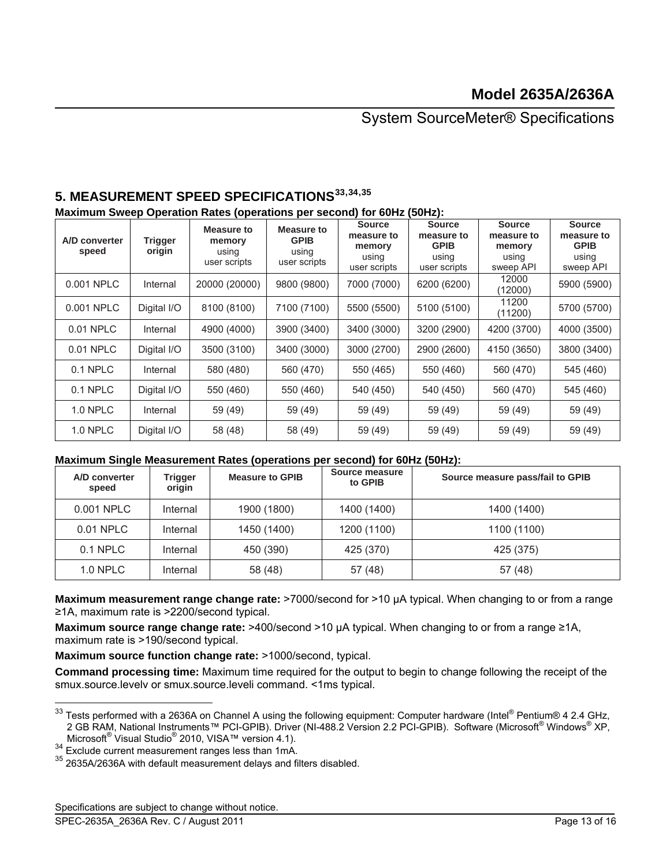## **5. MEASUREMENT SPEED SPECIFICATIONS[33](#page-12-0),[34](#page-12-1),[35](#page-12-2)**

#### **Maximum Sweep Operation Rates (operations per second) for 60Hz (50Hz):**

| A/D converter<br>speed | <b>Trigger</b><br>origin | Measure to<br>memory<br>using<br>user scripts | Measure to<br><b>GPIB</b><br>using<br>user scripts | <b>Source</b><br>measure to<br>memory<br>using<br>user scripts | <b>Source</b><br>measure to<br><b>GPIB</b><br>using<br>user scripts | <b>Source</b><br>measure to<br>memory<br>using<br>sweep API | <b>Source</b><br>measure to<br><b>GPIB</b><br>using<br>sweep API |
|------------------------|--------------------------|-----------------------------------------------|----------------------------------------------------|----------------------------------------------------------------|---------------------------------------------------------------------|-------------------------------------------------------------|------------------------------------------------------------------|
| 0.001 NPLC             | Internal                 | 20000 (20000)                                 | 9800 (9800)                                        | 7000 (7000)                                                    | 6200 (6200)                                                         | 12000<br>(12000)                                            | 5900 (5900)                                                      |
| 0.001 NPLC             | Digital I/O              | 8100 (8100)                                   | 7100 (7100)                                        | 5500 (5500)                                                    | 5100 (5100)                                                         | 11200<br>(11200)                                            | 5700 (5700)                                                      |
| 0.01 NPLC              | Internal                 | 4900 (4000)                                   | 3900 (3400)                                        | 3400 (3000)                                                    | 3200 (2900)                                                         | 4200 (3700)                                                 | 4000 (3500)                                                      |
| 0.01 NPLC              | Digital I/O              | 3500 (3100)                                   | 3400 (3000)                                        | 3000 (2700)                                                    | 2900 (2600)                                                         | 4150 (3650)                                                 | 3800 (3400)                                                      |
| 0.1 NPLC               | Internal                 | 580 (480)                                     | 560 (470)                                          | 550 (465)                                                      | 550 (460)                                                           | 560 (470)                                                   | 545 (460)                                                        |
| 0.1 NPLC               | Digital I/O              | 550 (460)                                     | 550 (460)                                          | 540 (450)                                                      | 540 (450)                                                           | 560 (470)                                                   | 545 (460)                                                        |
| <b>1.0 NPLC</b>        | Internal                 | 59 (49)                                       | 59 (49)                                            | 59 (49)                                                        | 59 (49)                                                             | 59 (49)                                                     | 59 (49)                                                          |
| <b>1.0 NPLC</b>        | Digital I/O              | 58 (48)                                       | 58 (49)                                            | 59 (49)                                                        | 59 (49)                                                             | 59 (49)                                                     | 59 (49)                                                          |

### **Maximum Single Measurement Rates (operations per second) for 60Hz (50Hz):**

| A/D converter<br>speed | Trigger<br>origin | <b>Measure to GPIB</b> | Source measure<br>to GPIB | Source measure pass/fail to GPIB |
|------------------------|-------------------|------------------------|---------------------------|----------------------------------|
| 0.001 NPLC             | Internal          | 1900 (1800)            | 1400 (1400)               | 1400 (1400)                      |
| 0.01 NPLC              | Internal          | 1450 (1400)            | 1200 (1100)               | 1100 (1100)                      |
| 0.1 NPLC               | Internal          | 450 (390)              | 425 (370)                 | 425 (375)                        |
| $1.0$ NPLC             | Internal          | 58 (48)                | 57 (48)                   | 57 (48)                          |

**Maximum measurement range change rate:** >7000/second for >10 µA typical. When changing to or from a range ≥1A, maximum rate is >2200/second typical.

**Maximum source range change rate: >400/second >10 µA typical. When changing to or from a range ≥1A,** maximum rate is >190/second typical.

**Maximum source function change rate:** >1000/second, typical.

**Command processing time:** Maximum time required for the output to begin to change following the receipt of the smux.source.levelv or smux.source.leveli command. <1ms typical.

<span id="page-12-2"></span><span id="page-12-1"></span>2010, VISA Exclude current measurement ranges less than 1mA.<br>
<sup>35</sup> 2635A/2636A with default measurement delays and filters disabled.

<span id="page-12-0"></span> $33$  Tests performed with a 2636A on Channel A using the following equipment: Computer hardware (Intel® Pentium® 4 2.4 GHz, 2 GB RAM, National Instruments™ PCI-GPIB). Driver (NI-488.2 Version 2.2 PCI-GPIB). Software (Microsoft® Windows® XP, Microsoft® Visual Studio<sup>®</sup>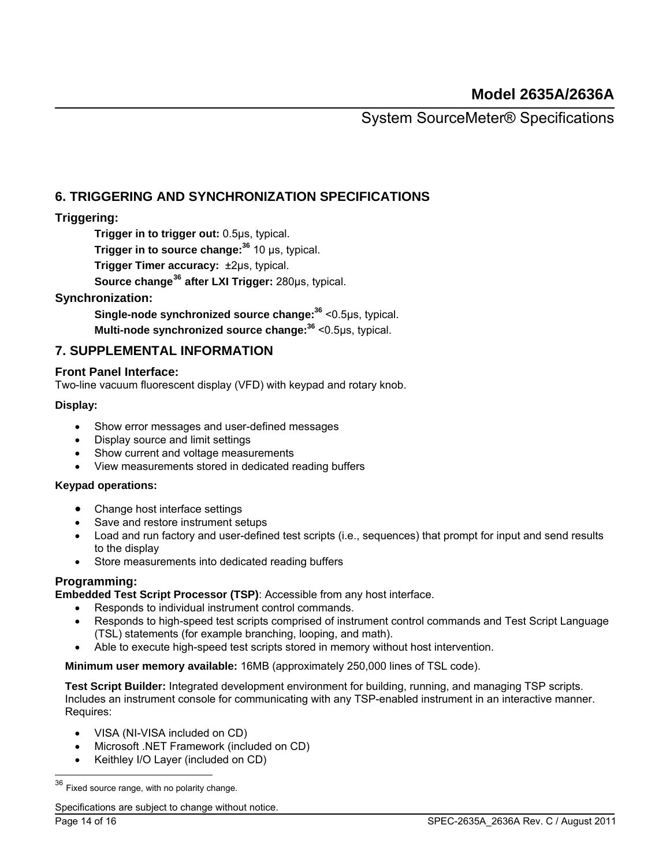### **6. TRIGGERING AND SYNCHRONIZATION SPECIFICATIONS**

### **Triggering:**

**Trigger in to trigger out:** 0.5μs, typical.

**Trigger in to source change:<sup>36</sup>** 10 μs, typical.

**Trigger Timer accuracy:** ±2μs, typical.

 **Source change[36](#page-13-0) after LXI Trigger:** 280μs, typical.

### <span id="page-13-1"></span>**Synchronization:**

**Single-node synchronized source change[:36](#page-13-1)** <0.5μs, typical.

**Multi-node synchronized source change:[36](#page-13-1)** <0.5μs, typical.

### **7. SUPPLEMENTAL INFORMATION**

### **Front Panel Interface:**

Two-line vacuum fluorescent display (VFD) with keypad and rotary knob.

### **Display:**

- Show error messages and user-defined messages
- Display source and limit settings
- Show current and voltage measurements
- View measurements stored in dedicated reading buffers

### **Keypad operations:**

- Change host interface settings
- Save and restore instrument setups
- Load and run factory and user-defined test scripts (i.e., sequences) that prompt for input and send results to the display
- Store measurements into dedicated reading buffers

### **Programming:**

**Embedded Test Script Processor (TSP)**: Accessible from any host interface.

- Responds to individual instrument control commands.
- Responds to high-speed test scripts comprised of instrument control commands and Test Script Language (TSL) statements (for example branching, looping, and math).
- Able to execute high-speed test scripts stored in memory without host intervention.

**Minimum user memory available:** 16MB (approximately 250,000 lines of TSL code).

**Test Script Builder:** Integrated development environment for building, running, and managing TSP scripts. Includes an instrument console for communicating with any TSP-enabled instrument in an interactive manner. Requires:

- VISA (NI-VISA included on CD)
- Microsoft .NET Framework (included on CD)
- Keithley I/O Layer (included on CD)

<span id="page-13-0"></span> $36$  Fixed source range, with no polarity change.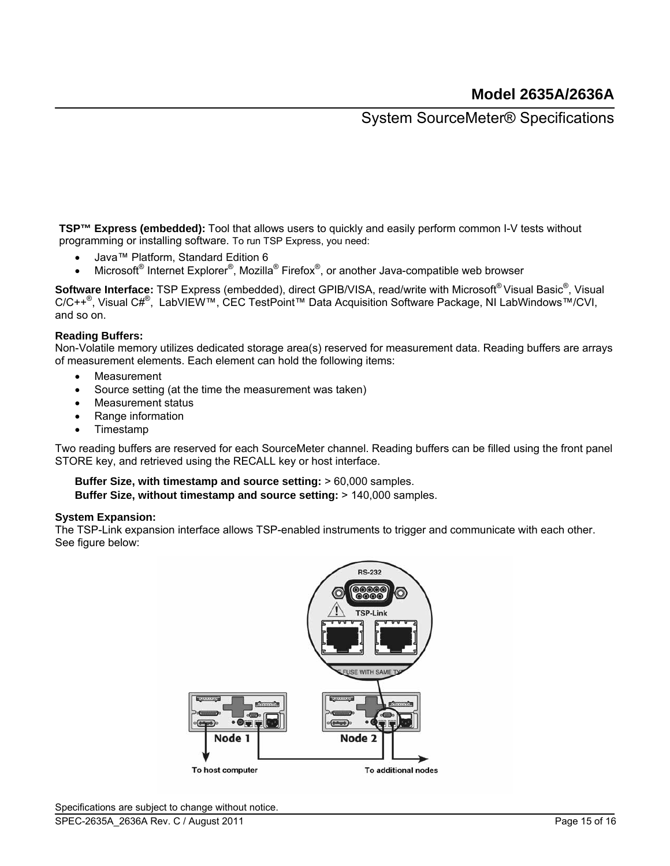**TSP™ Express (embedded):** Tool that allows users to quickly and easily perform common I-V tests without programming or installing software. To run TSP Express, you need:

- Java™ Platform, Standard Edition 6
- Microsoft<sup>®</sup> Internet Explorer<sup>®</sup>, Mozilla<sup>®</sup> Firefox<sup>®</sup>, or another Java-compatible web browser

Software Interface: TSP Express (embedded), direct GPIB/VISA, read/write with Microsoft®Visual Basic<sup>®</sup>, Visual C/C++<sup>®</sup>, Visual C#<sup>®</sup>, LabVIEW™, CEC TestPoint™ Data Acquisition Software Package, NI LabWindows™/CVI, and so on.

### **Reading Buffers:**

Non-Volatile memory utilizes dedicated storage area(s) reserved for measurement data. Reading buffers are arrays of measurement elements. Each element can hold the following items:

- Measurement
- Source setting (at the time the measurement was taken)
- Measurement status
- Range information
- Timestamp

Two reading buffers are reserved for each SourceMeter channel. Reading buffers can be filled using the front panel STORE key, and retrieved using the RECALL key or host interface.

#### **Buffer Size, with timestamp and source setting:** > 60,000 samples. **Buffer Size, without timestamp and source setting:** > 140,000 samples.

#### **System Expansion:**

The TSP-Link expansion interface allows TSP-enabled instruments to trigger and communicate with each other. See figure below: